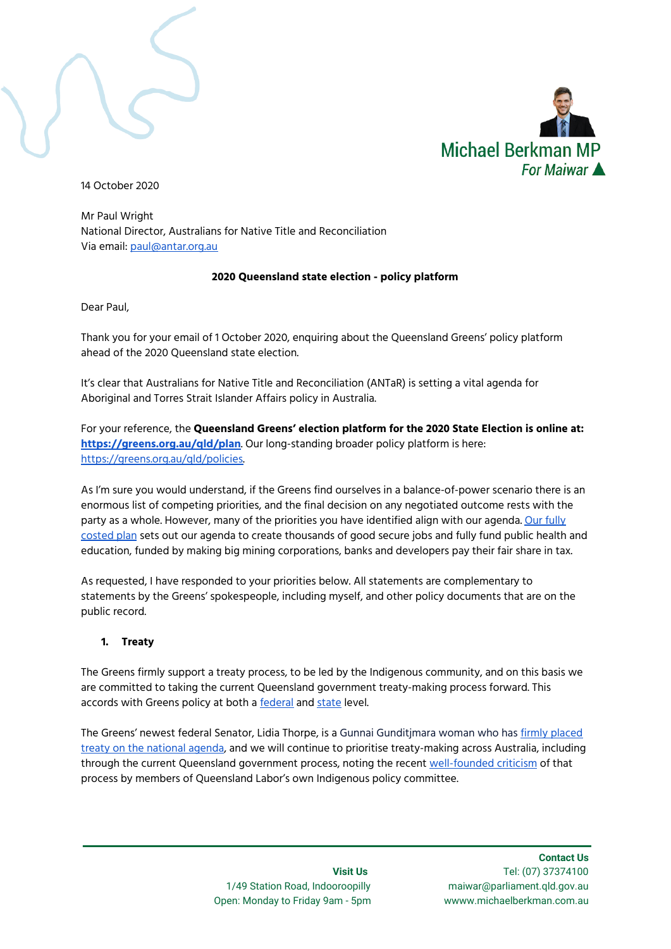

14 October 2020

Mr Paul Wright National Director, Australians for Native Title and Reconciliation Via email: [paul@antar.org.au](mailto:paul@antar.org.au)

#### **2020 Queensland state election - policy platform**

Dear Paul,

Thank you for your email of 1 October 2020, enquiring about the Queensland Greens' policy platform ahead of the 2020 Queensland state election.

It's clear that Australians for Native Title and Reconciliation (ANTaR) is setting a vital agenda for Aboriginal and Torres Strait Islander Affairs policy in Australia.

For your reference, the **Queensland Greens' election platform for the 2020 State Election is online at: <https://greens.org.au/qld/plan>**. Our long-standing broader policy platform is here: [https://greens.org.au/qld/policies.](https://greens.org.au/qld/policies)

As I'm sure you would understand, if the Greens find ourselves in a balance-of-power scenario there is an enormous list of competing priorities, and the final decision on any negotiated outcome rests with the party as a whole. However, many of the priorities you have identified align with our agenda. Our [fully](https://greens.org.au/qld/plan) [costed](https://greens.org.au/qld/plan) plan sets out our agenda to create thousands of good secure jobs and fully fund public health and education, funded by making big mining corporations, banks and developers pay their fair share in tax.

As requested, I have responded to your priorities below. All statements are complementary to statements by the Greens' spokespeople, including myself, and other policy documents that are on the public record.

#### **1. Treaty**

The Greens firmly support a treaty process, to be led by the Indigenous community, and on this basis we are committed to taking the current Queensland government treaty-making process forward. This accords with Greens policy at both a **[federal](https://greens.org.au/policies/first-nations-peoples)** and [state](https://greens.org.au/qld/policies/indigenous-queenslanders) level.

The Greens' newest federal Senator, Lidia Thorpe, is a Gunnai Gunditjmara woman who has firmly [placed](https://www.smh.com.au/national/without-treaty-incoming-senator-can-t-feel-part-of-team-australia-20200625-p55649.html) treaty on the [national](https://www.smh.com.au/national/without-treaty-incoming-senator-can-t-feel-part-of-team-australia-20200625-p55649.html) agenda, and we will continue to prioritise treaty-making across Australia, including through the current Queensland government process, noting the recent [well-founded](https://www.theaustralian.com.au/nation/queensland-labor-indigenous-policy-team-in-chaos/news-story/34e3d2db8c9e7eac69bcd402ab28d733) criticism of that process by members of Queensland Labor's own Indigenous policy committee.

> 1/49 Station Road, Indooroopilly maiwar@parliament.qld.gov.au Open: Monday to Friday 9am - 5pm wwww.michaelberkman.com.au

 **Contact Us Visit Us** Tel: (07) 37374100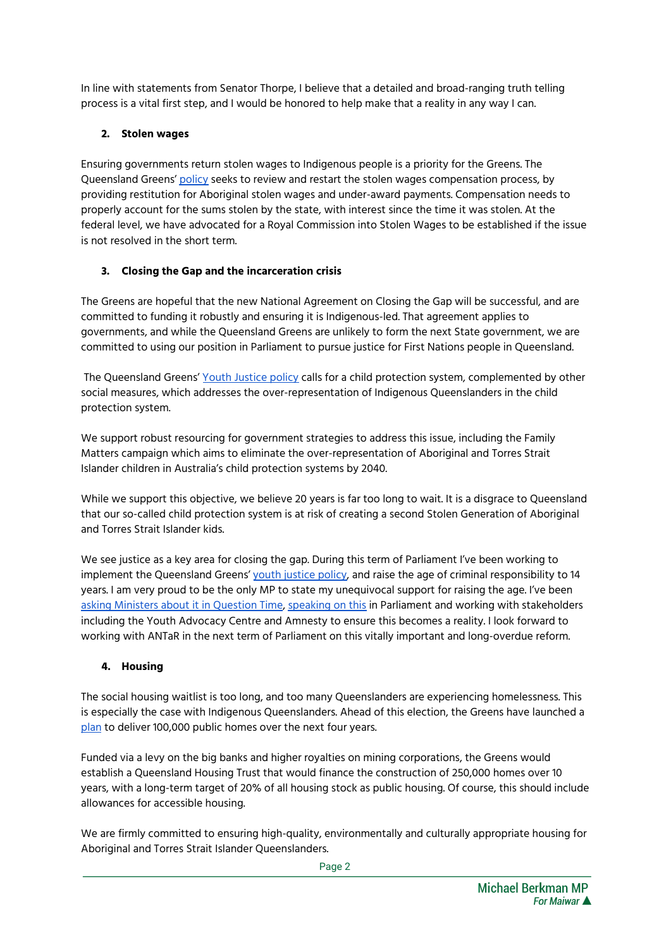In line with statements from Senator Thorpe, I believe that a detailed and broad-ranging truth telling process is a vital first step, and I would be honored to help make that a reality in any way I can.

# **2. Stolen wages**

Ensuring governments return stolen wages to Indigenous people is a priority for the Greens. The Queensland Greens' [policy](https://greens.org.au/qld/policies/indigenous-queenslanders) seeks to review and restart the stolen wages compensation process, by providing restitution for Aboriginal stolen wages and under-award payments. Compensation needs to properly account for the sums stolen by the state, with interest since the time it was stolen. At the federal level, we have advocated for a Royal Commission into Stolen Wages to be established if the issue is not resolved in the short term.

# **3. Closing the Gap and the incarceration crisis**

The Greens are hopeful that the new National Agreement on Closing the Gap will be successful, and are committed to funding it robustly and ensuring it is Indigenous-led. That agreement applies to governments, and while the Queensland Greens are unlikely to form the next State government, we are committed to using our position in Parliament to pursue justice for First Nations people in Queensland.

The Queensland Greens' Youth [Justice](https://greens.org.au/qld/policies/youth-justice) policy calls for a child protection system, complemented by other social measures, which addresses the over-representation of Indigenous Queenslanders in the child protection system.

We support robust resourcing for government strategies to address this issue, including the Family Matters campaign which aims to eliminate the over-representation of Aboriginal and Torres Strait Islander children in Australia's child protection systems by 2040.

While we support this objective, we believe 20 years is far too long to wait. It is a disgrace to Queensland that our so-called child protection system is at risk of creating a second Stolen Generation of Aboriginal and Torres Strait Islander kids.

We see justice as a key area for closing the gap. During this term of Parliament I've been working to implement the Queensland Greens' youth [justice](https://greens.org.au/qld/policies/youth-justice) policy, and raise the age of criminal responsibility to 14 years. I am very proud to be the only MP to state my unequivocal support for raising the age. I've been asking [Ministers](https://www.michaelberkman.com.au/question_time_raising_the_age_of_criminal_responsibility) about it in Question Time, [speaking](https://www.michaelberkman.com.au/contribution_on_the_youth_justice) on this in Parliament and working with stakeholders including the Youth Advocacy Centre and Amnesty to ensure this becomes a reality. I look forward to working with ANTaR in the next term of Parliament on this vitally important and long-overdue reform.

# **4. Housing**

The social housing waitlist is too long, and too many Queenslanders are experiencing homelessness. This is especially the case with Indigenous Queenslanders. Ahead of this election, the Greens have launched a [plan](https://greens.org.au/qld/jobsandhomes) to deliver 100,000 public homes over the next four years.

Funded via a levy on the big banks and higher royalties on mining corporations, the Greens would establish a Queensland Housing Trust that would finance the construction of 250,000 homes over 10 years, with a long-term target of 20% of all housing stock as public housing. Of course, this should include allowances for accessible housing.

We are firmly committed to ensuring high-quality, environmentally and culturally appropriate housing for Aboriginal and Torres Strait Islander Queenslanders.